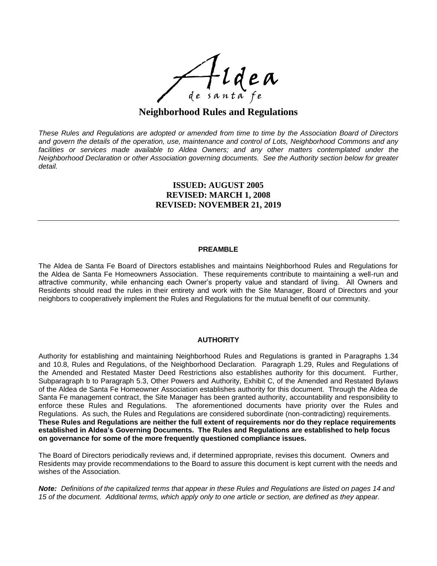

# **Neighborhood Rules and Regulations**

These Rules and Regulations are adopted or amended from time to time by the Association Board of Directors and govern the details of the operation, use, maintenance and control of Lots, Neighborhood Commons and any *facilities or services made available to Aldea Owners; and any other matters contemplated under the Neighborhood Declaration or other Association governing documents. See the Authority section below for greater detail.*

# **ISSUED: AUGUST 2005 REVISED: MARCH 1, 2008 REVISED: NOVEMBER 21, 2019**

#### **PREAMBLE**

The Aldea de Santa Fe Board of Directors establishes and maintains Neighborhood Rules and Regulations for the Aldea de Santa Fe Homeowners Association. These requirements contribute to maintaining a well-run and attractive community, while enhancing each Owner's property value and standard of living. All Owners and Residents should read the rules in their entirety and work with the Site Manager, Board of Directors and your neighbors to cooperatively implement the Rules and Regulations for the mutual benefit of our community.

# **AUTHORITY**

Authority for establishing and maintaining Neighborhood Rules and Regulations is granted in Paragraphs 1.34 and 10.8, Rules and Regulations, of the Neighborhood Declaration. Paragraph 1.29, Rules and Regulations of the Amended and Restated Master Deed Restrictions also establishes authority for this document. Further, Subparagraph b to Paragraph 5.3, Other Powers and Authority, Exhibit C, of the Amended and Restated Bylaws of the Aldea de Santa Fe Homeowner Association establishes authority for this document. Through the Aldea de Santa Fe management contract, the Site Manager has been granted authority, accountability and responsibility to enforce these Rules and Regulations. The aforementioned documents have priority over the Rules and Regulations. As such, the Rules and Regulations are considered subordinate (non-contradicting) requirements. **These Rules and Regulations are neither the full extent of requirements nor do they replace requirements established in Aldea's Governing Documents. The Rules and Regulations are established to help focus on governance for some of the more frequently questioned compliance issues.**

The Board of Directors periodically reviews and, if determined appropriate, revises this document. Owners and Residents may provide recommendations to the Board to assure this document is kept current with the needs and wishes of the Association.

Note: Definitions of the capitalized terms that appear in these Rules and Requlations are listed on pages 14 and 15 of the document. Additional terms, which apply only to one article or section, are defined as they appear.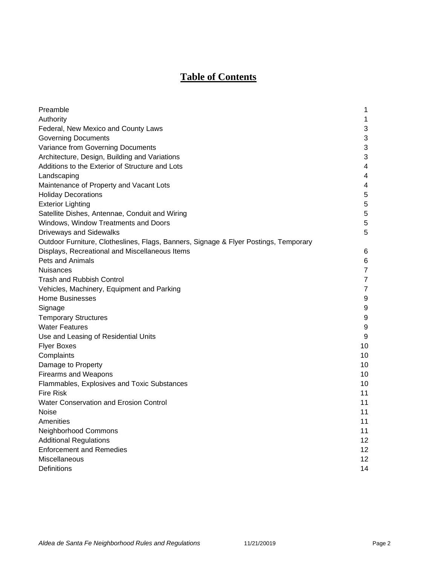# **Table of Contents**

| Preamble                                                                             | 1                         |
|--------------------------------------------------------------------------------------|---------------------------|
| Authority                                                                            | 1                         |
| Federal, New Mexico and County Laws                                                  | 3                         |
| <b>Governing Documents</b>                                                           | $\ensuremath{\mathsf{3}}$ |
| Variance from Governing Documents                                                    | 3                         |
| Architecture, Design, Building and Variations                                        | 3                         |
| Additions to the Exterior of Structure and Lots                                      | 4                         |
| Landscaping                                                                          | 4                         |
| Maintenance of Property and Vacant Lots                                              | 4                         |
| <b>Holiday Decorations</b>                                                           | 5                         |
| <b>Exterior Lighting</b>                                                             | 5                         |
| Satellite Dishes, Antennae, Conduit and Wiring                                       | 5                         |
| Windows, Window Treatments and Doors                                                 | 5                         |
| <b>Driveways and Sidewalks</b>                                                       | 5                         |
| Outdoor Furniture, Clotheslines, Flags, Banners, Signage & Flyer Postings, Temporary |                           |
| Displays, Recreational and Miscellaneous Items                                       | 6                         |
| Pets and Animals                                                                     | $\,6$                     |
| <b>Nuisances</b>                                                                     | $\overline{7}$            |
| Trash and Rubbish Control                                                            | $\overline{7}$            |
| Vehicles, Machinery, Equipment and Parking                                           | $\overline{7}$            |
| <b>Home Businesses</b>                                                               | 9                         |
| Signage                                                                              | 9                         |
| <b>Temporary Structures</b>                                                          | 9                         |
| <b>Water Features</b>                                                                | 9                         |
| Use and Leasing of Residential Units                                                 | 9                         |
| <b>Flyer Boxes</b>                                                                   | 10                        |
| Complaints                                                                           | 10                        |
| Damage to Property                                                                   | 10                        |
| <b>Firearms and Weapons</b>                                                          | 10                        |
| Flammables, Explosives and Toxic Substances                                          | 10                        |
| <b>Fire Risk</b>                                                                     | 11                        |
| Water Conservation and Erosion Control                                               | 11                        |
| Noise                                                                                | 11                        |
| Amenities                                                                            | 11                        |
| Neighborhood Commons                                                                 | 11                        |
| <b>Additional Regulations</b>                                                        | 12                        |
| <b>Enforcement and Remedies</b>                                                      | 12                        |
| Miscellaneous                                                                        | 12                        |
| Definitions                                                                          | 14                        |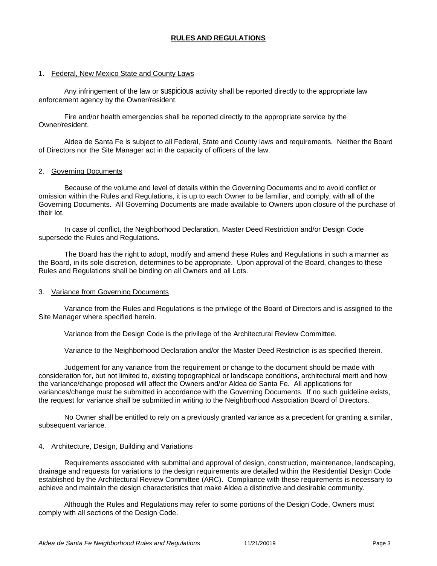# **RULES AND REGULATIONS**

# 1. Federal, New Mexico State and County Laws

Any infringement of the law or suspicious activity shall be reported directly to the appropriate law enforcement agency by the Owner/resident.

Fire and/or health emergencies shall be reported directly to the appropriate service by the Owner/resident.

Aldea de Santa Fe is subject to all Federal, State and County laws and requirements. Neither the Board of Directors nor the Site Manager act in the capacity of officers of the law.

# 2. Governing Documents

Because of the volume and level of details within the Governing Documents and to avoid conflict or omission within the Rules and Regulations, it is up to each Owner to be familiar, and comply, with all of the Governing Documents. All Governing Documents are made available to Owners upon closure of the purchase of their lot.

In case of conflict, the Neighborhood Declaration, Master Deed Restriction and/or Design Code supersede the Rules and Regulations.

The Board has the right to adopt, modify and amend these Rules and Regulations in such a manner as the Board, in its sole discretion, determines to be appropriate. Upon approval of the Board, changes to these Rules and Regulations shall be binding on all Owners and all Lots.

# 3. Variance from Governing Documents

Variance from the Rules and Regulations is the privilege of the Board of Directors and is assigned to the Site Manager where specified herein.

Variance from the Design Code is the privilege of the Architectural Review Committee.

Variance to the Neighborhood Declaration and/or the Master Deed Restriction is as specified therein.

Judgement for any variance from the requirement or change to the document should be made with consideration for, but not limited to, existing topographical or landscape conditions, architectural merit and how the variance/change proposed will affect the Owners and/or Aldea de Santa Fe. All applications for variances/change must be submitted in accordance with the Governing Documents. If no such guideline exists, the request for variance shall be submitted in writing to the Neighborhood Association Board of Directors.

No Owner shall be entitled to rely on a previously granted variance as a precedent for granting a similar, subsequent variance.

# 4. Architecture, Design, Building and Variations

Requirements associated with submittal and approval of design, construction, maintenance, landscaping, drainage and requests for variations to the design requirements are detailed within the Residential Design Code established by the Architectural Review Committee (ARC). Compliance with these requirements is necessary to achieve and maintain the design characteristics that make Aldea a distinctive and desirable community.

Although the Rules and Regulations may refer to some portions of the Design Code, Owners must comply with all sections of the Design Code.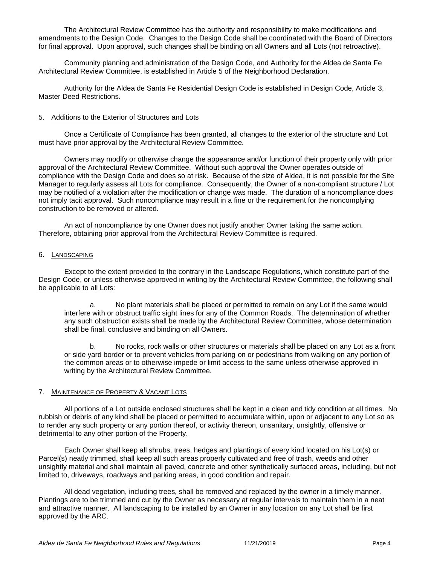The Architectural Review Committee has the authority and responsibility to make modifications and amendments to the Design Code. Changes to the Design Code shall be coordinated with the Board of Directors for final approval. Upon approval, such changes shall be binding on all Owners and all Lots (not retroactive).

Community planning and administration of the Design Code, and Authority for the Aldea de Santa Fe Architectural Review Committee, is established in Article 5 of the Neighborhood Declaration.

Authority for the Aldea de Santa Fe Residential Design Code is established in Design Code, Article 3, Master Deed Restrictions.

# 5. Additions to the Exterior of Structures and Lots

Once a Certificate of Compliance has been granted, all changes to the exterior of the structure and Lot must have prior approval by the Architectural Review Committee.

Owners may modify or otherwise change the appearance and/or function of their property only with prior approval of the Architectural Review Committee. Without such approval the Owner operates outside of compliance with the Design Code and does so at risk. Because of the size of Aldea, it is not possible for the Site Manager to regularly assess all Lots for compliance. Consequently, the Owner of a non-compliant structure / Lot may be notified of a violation after the modification or change was made. The duration of a noncompliance does not imply tacit approval. Such noncompliance may result in a fine or the requirement for the noncomplying construction to be removed or altered.

An act of noncompliance by one Owner does not justify another Owner taking the same action. Therefore, obtaining prior approval from the Architectural Review Committee is required.

# 6. LANDSCAPING

Except to the extent provided to the contrary in the Landscape Regulations, which constitute part of the Design Code, or unless otherwise approved in writing by the Architectural Review Committee, the following shall be applicable to all Lots:

a. No plant materials shall be placed or permitted to remain on any Lot if the same would interfere with or obstruct traffic sight lines for any of the Common Roads. The determination of whether any such obstruction exists shall be made by the Architectural Review Committee, whose determination shall be final, conclusive and binding on all Owners.

b. No rocks, rock walls or other structures or materials shall be placed on any Lot as a front or side yard border or to prevent vehicles from parking on or pedestrians from walking on any portion of the common areas or to otherwise impede or limit access to the same unless otherwise approved in writing by the Architectural Review Committee.

# 7. MAINTENANCE OF PROPERTY & VACANT LOTS

All portions of a Lot outside enclosed structures shall be kept in a clean and tidy condition at all times. No rubbish or debris of any kind shall be placed or permitted to accumulate within, upon or adjacent to any Lot so as to render any such property or any portion thereof, or activity thereon, unsanitary, unsightly, offensive or detrimental to any other portion of the Property.

Each Owner shall keep all shrubs, trees, hedges and plantings of every kind located on his Lot(s) or Parcel(s) neatly trimmed, shall keep all such areas properly cultivated and free of trash, weeds and other unsightly material and shall maintain all paved, concrete and other synthetically surfaced areas, including, but not limited to, driveways, roadways and parking areas, in good condition and repair.

All dead vegetation, including trees, shall be removed and replaced by the owner in a timely manner. Plantings are to be trimmed and cut by the Owner as necessary at regular intervals to maintain them in a neat and attractive manner. All landscaping to be installed by an Owner in any location on any Lot shall be first approved by the ARC.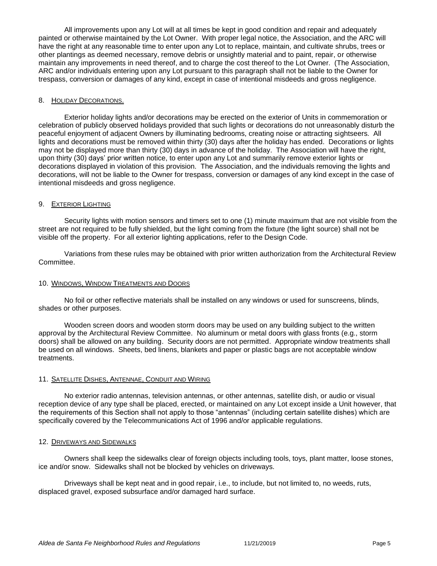All improvements upon any Lot will at all times be kept in good condition and repair and adequately painted or otherwise maintained by the Lot Owner. With proper legal notice, the Association, and the ARC will have the right at any reasonable time to enter upon any Lot to replace, maintain, and cultivate shrubs, trees or other plantings as deemed necessary, remove debris or unsightly material and to paint, repair, or otherwise maintain any improvements in need thereof, and to charge the cost thereof to the Lot Owner. (The Association, ARC and/or individuals entering upon any Lot pursuant to this paragraph shall not be liable to the Owner for trespass, conversion or damages of any kind, except in case of intentional misdeeds and gross negligence.

# 8. HOLIDAY DECORATIONS.

Exterior holiday lights and/or decorations may be erected on the exterior of Units in commemoration or celebration of publicly observed holidays provided that such lights or decorations do not unreasonably disturb the peaceful enjoyment of adjacent Owners by illuminating bedrooms, creating noise or attracting sightseers. All lights and decorations must be removed within thirty (30) days after the holiday has ended. Decorations or lights may not be displayed more than thirty (30) days in advance of the holiday. The Association will have the right, upon thirty (30) days' prior written notice, to enter upon any Lot and summarily remove exterior lights or decorations displayed in violation of this provision. The Association, and the individuals removing the lights and decorations, will not be liable to the Owner for trespass, conversion or damages of any kind except in the case of intentional misdeeds and gross negligence.

# 9. EXTERIOR LIGHTING

Security lights with motion sensors and timers set to one (1) minute maximum that are not visible from the street are not required to be fully shielded, but the light coming from the fixture (the light source) shall not be visible off the property. For all exterior lighting applications, refer to the Design Code.

Variations from these rules may be obtained with prior written authorization from the Architectural Review Committee.

#### 10. WINDOWS, WINDOW TREATMENTS AND DOORS

No foil or other reflective materials shall be installed on any windows or used for sunscreens, blinds, shades or other purposes.

Wooden screen doors and wooden storm doors may be used on any building subject to the written approval by the Architectural Review Committee. No aluminum or metal doors with glass fronts (e.g., storm doors) shall be allowed on any building. Security doors are not permitted. Appropriate window treatments shall be used on all windows. Sheets, bed linens, blankets and paper or plastic bags are not acceptable window treatments.

#### 11. SATELLITE DISHES, ANTENNAE, CONDUIT AND WIRING

No exterior radio antennas, television antennas, or other antennas, satellite dish, or audio or visual reception device of any type shall be placed, erected, or maintained on any Lot except inside a Unit however, that the requirements of this Section shall not apply to those "antennas" (including certain satellite dishes) which are specifically covered by the Telecommunications Act of 1996 and/or applicable regulations.

#### 12. DRIVEWAYS AND SIDEWALKS

Owners shall keep the sidewalks clear of foreign objects including tools, toys, plant matter, loose stones, ice and/or snow. Sidewalks shall not be blocked by vehicles on driveways.

Driveways shall be kept neat and in good repair, i.e., to include, but not limited to, no weeds, ruts, displaced gravel, exposed subsurface and/or damaged hard surface.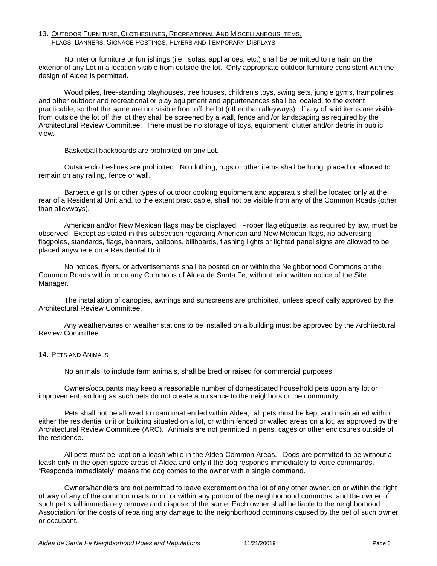# 13. OUTDOOR FURNITURE, CLOTHESLINES, RECREATIONAL AND MISCELLANEOUS ITEMS, FLAGS, BANNERS, SIGNAGE POSTINGS, FLYERS AND TEMPORARY DISPLAYS

No interior furniture or furnishings (i.e., sofas, appliances, etc.) shall be permitted to remain on the exterior of any Lot in a location visible from outside the lot. Only appropriate outdoor furniture consistent with the design of Aldea is permitted.

Wood piles, free-standing playhouses, tree houses, children's toys, swing sets, jungle gyms, trampolines and other outdoor and recreational or play equipment and appurtenances shall be located, to the extent practicable, so that the same are not visible from off the lot (other than alleyways). If any of said items are visible from outside the lot off the lot they shall be screened by a wall, fence and /or landscaping as required by the Architectural Review Committee. There must be no storage of toys, equipment, clutter and/or debris in public view.

Basketball backboards are prohibited on any Lot.

Outside clotheslines are prohibited. No clothing, rugs or other items shall be hung, placed or allowed to remain on any railing, fence or wall.

Barbecue grills or other types of outdoor cooking equipment and apparatus shall be located only at the rear of a Residential Unit and, to the extent practicable, shall not be visible from any of the Common Roads (other than alleyways).

American and/or New Mexican flags may be displayed. Proper flag etiquette, as required by law, must be observed. Except as stated in this subsection regarding American and New Mexican flags, no advertising flagpoles, standards, flags, banners, balloons, billboards, flashing lights or lighted panel signs are allowed to be placed anywhere on a Residential Unit.

No notices, flyers, or advertisements shall be posted on or within the Neighborhood Commons or the Common Roads within or on any Commons of Aldea de Santa Fe, without prior written notice of the Site Manager.

The installation of canopies, awnings and sunscreens are prohibited, unless specifically approved by the Architectural Review Committee.

Any weathervanes or weather stations to be installed on a building must be approved by the Architectural Review Committee.

# 14. PETS AND ANIMALS

No animals, to include farm animals, shall be bred or raised for commercial purposes.

Owners/occupants may keep a reasonable number of domesticated household pets upon any lot or improvement, so long as such pets do not create a nuisance to the neighbors or the community.

Pets shall not be allowed to roam unattended within Aldea; all pets must be kept and maintained within either the residential unit or building situated on a lot, or within fenced or walled areas on a lot, as approved by the Architectural Review Committee (ARC). Animals are not permitted in pens, cages or other enclosures outside of the residence.

All pets must be kept on a leash while in the Aldea Common Areas. Dogs are permitted to be without a leash only in the open space areas of Aldea and only if the dog responds immediately to voice commands. "Responds immediately" means the dog comes to the owner with a single command.

Owners/handlers are not permitted to leave excrement on the lot of any other owner, on or within the right of way of any of the common roads or on or within any portion of the neighborhood commons, and the owner of such pet shall immediately remove and dispose of the same. Each owner shall be liable to the neighborhood Association for the costs of repairing any damage to the neighborhood commons caused by the pet of such owner or occupant.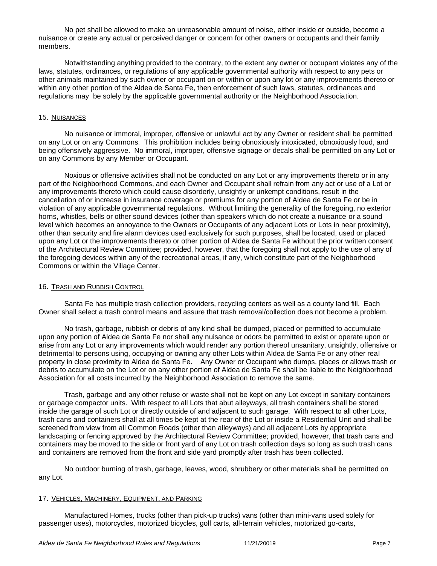No pet shall be allowed to make an unreasonable amount of noise, either inside or outside, become a nuisance or create any actual or perceived danger or concern for other owners or occupants and their family members.

Notwithstanding anything provided to the contrary, to the extent any owner or occupant violates any of the laws, statutes, ordinances, or regulations of any applicable governmental authority with respect to any pets or other animals maintained by such owner or occupant on or within or upon any lot or any improvements thereto or within any other portion of the Aldea de Santa Fe, then enforcement of such laws, statutes, ordinances and regulations may be solely by the applicable governmental authority or the Neighborhood Association.

## 15. NUISANCES

No nuisance or immoral, improper, offensive or unlawful act by any Owner or resident shall be permitted on any Lot or on any Commons. This prohibition includes being obnoxiously intoxicated, obnoxiously loud, and being offensively aggressive. No immoral, improper, offensive signage or decals shall be permitted on any Lot or on any Commons by any Member or Occupant.

Noxious or offensive activities shall not be conducted on any Lot or any improvements thereto or in any part of the Neighborhood Commons, and each Owner and Occupant shall refrain from any act or use of a Lot or any improvements thereto which could cause disorderly, unsightly or unkempt conditions, result in the cancellation of or increase in insurance coverage or premiums for any portion of Aldea de Santa Fe or be in violation of any applicable governmental regulations. Without limiting the generality of the foregoing, no exterior horns, whistles, bells or other sound devices (other than speakers which do not create a nuisance or a sound level which becomes an annoyance to the Owners or Occupants of any adjacent Lots or Lots in near proximity), other than security and fire alarm devices used exclusively for such purposes, shall be located, used or placed upon any Lot or the improvements thereto or other portion of Aldea de Santa Fe without the prior written consent of the Architectural Review Committee; provided, however, that the foregoing shall not apply to the use of any of the foregoing devices within any of the recreational areas, if any, which constitute part of the Neighborhood Commons or within the Village Center.

## 16. TRASH AND RUBBISH CONTROL

Santa Fe has multiple trash collection providers, recycling centers as well as a county land fill. Each Owner shall select a trash control means and assure that trash removal/collection does not become a problem.

No trash, garbage, rubbish or debris of any kind shall be dumped, placed or permitted to accumulate upon any portion of Aldea de Santa Fe nor shall any nuisance or odors be permitted to exist or operate upon or arise from any Lot or any improvements which would render any portion thereof unsanitary, unsightly, offensive or detrimental to persons using, occupying or owning any other Lots within Aldea de Santa Fe or any other real property in close proximity to Aldea de Santa Fe. Any Owner or Occupant who dumps, places or allows trash or debris to accumulate on the Lot or on any other portion of Aldea de Santa Fe shall be liable to the Neighborhood Association for all costs incurred by the Neighborhood Association to remove the same.

Trash, garbage and any other refuse or waste shall not be kept on any Lot except in sanitary containers or garbage compactor units. With respect to all Lots that abut alleyways, all trash containers shall be stored inside the garage of such Lot or directly outside of and adjacent to such garage. With respect to all other Lots, trash cans and containers shall at all times be kept at the rear of the Lot or inside a Residential Unit and shall be screened from view from all Common Roads (other than alleyways) and all adjacent Lots by appropriate landscaping or fencing approved by the Architectural Review Committee; provided, however, that trash cans and containers may be moved to the side or front yard of any Lot on trash collection days so long as such trash cans and containers are removed from the front and side yard promptly after trash has been collected.

No outdoor burning of trash, garbage, leaves, wood, shrubbery or other materials shall be permitted on any Lot.

#### 17. VEHICLES, MACHINERY, EQUIPMENT, AND PARKING

Manufactured Homes, trucks (other than pick-up trucks) vans (other than mini-vans used solely for passenger uses), motorcycles, motorized bicycles, golf carts, all-terrain vehicles, motorized go-carts,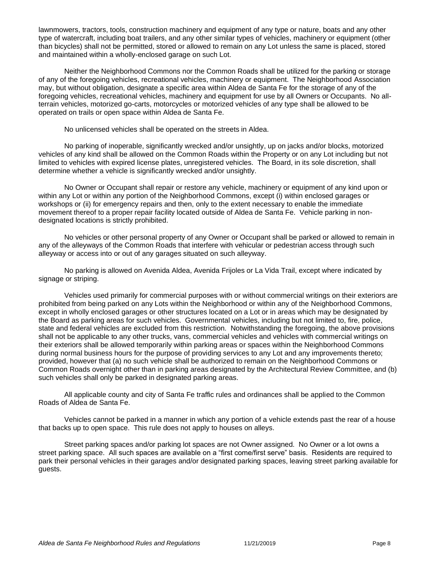lawnmowers, tractors, tools, construction machinery and equipment of any type or nature, boats and any other type of watercraft, including boat trailers, and any other similar types of vehicles, machinery or equipment (other than bicycles) shall not be permitted, stored or allowed to remain on any Lot unless the same is placed, stored and maintained within a wholly-enclosed garage on such Lot.

Neither the Neighborhood Commons nor the Common Roads shall be utilized for the parking or storage of any of the foregoing vehicles, recreational vehicles, machinery or equipment. The Neighborhood Association may, but without obligation, designate a specific area within Aldea de Santa Fe for the storage of any of the foregoing vehicles, recreational vehicles, machinery and equipment for use by all Owners or Occupants. No allterrain vehicles, motorized go-carts, motorcycles or motorized vehicles of any type shall be allowed to be operated on trails or open space within Aldea de Santa Fe.

No unlicensed vehicles shall be operated on the streets in Aldea.

No parking of inoperable, significantly wrecked and/or unsightly, up on jacks and/or blocks, motorized vehicles of any kind shall be allowed on the Common Roads within the Property or on any Lot including but not limited to vehicles with expired license plates, unregistered vehicles. The Board, in its sole discretion, shall determine whether a vehicle is significantly wrecked and/or unsightly.

No Owner or Occupant shall repair or restore any vehicle, machinery or equipment of any kind upon or within any Lot or within any portion of the Neighborhood Commons, except (i) within enclosed garages or workshops or (ii) for emergency repairs and then, only to the extent necessary to enable the immediate movement thereof to a proper repair facility located outside of Aldea de Santa Fe. Vehicle parking in nondesignated locations is strictly prohibited.

No vehicles or other personal property of any Owner or Occupant shall be parked or allowed to remain in any of the alleyways of the Common Roads that interfere with vehicular or pedestrian access through such alleyway or access into or out of any garages situated on such alleyway.

No parking is allowed on Avenida Aldea, Avenida Frijoles or La Vida Trail, except where indicated by signage or striping.

Vehicles used primarily for commercial purposes with or without commercial writings on their exteriors are prohibited from being parked on any Lots within the Neighborhood or within any of the Neighborhood Commons, except in wholly enclosed garages or other structures located on a Lot or in areas which may be designated by the Board as parking areas for such vehicles. Governmental vehicles, including but not limited to, fire, police, state and federal vehicles are excluded from this restriction. Notwithstanding the foregoing, the above provisions shall not be applicable to any other trucks, vans, commercial vehicles and vehicles with commercial writings on their exteriors shall be allowed temporarily within parking areas or spaces within the Neighborhood Commons during normal business hours for the purpose of providing services to any Lot and any improvements thereto; provided, however that (a) no such vehicle shall be authorized to remain on the Neighborhood Commons or Common Roads overnight other than in parking areas designated by the Architectural Review Committee, and (b) such vehicles shall only be parked in designated parking areas.

All applicable county and city of Santa Fe traffic rules and ordinances shall be applied to the Common Roads of Aldea de Santa Fe.

Vehicles cannot be parked in a manner in which any portion of a vehicle extends past the rear of a house that backs up to open space. This rule does not apply to houses on alleys.

Street parking spaces and/or parking lot spaces are not Owner assigned. No Owner or a lot owns a street parking space. All such spaces are available on a "first come/first serve" basis. Residents are required to park their personal vehicles in their garages and/or designated parking spaces, leaving street parking available for guests.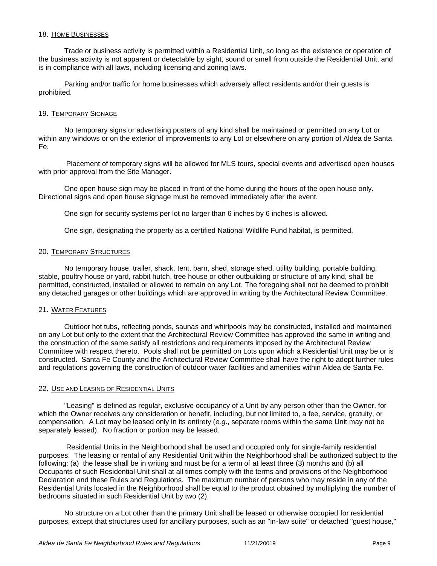#### 18. HOME BUSINESSES

Trade or business activity is permitted within a Residential Unit, so long as the existence or operation of the business activity is not apparent or detectable by sight, sound or smell from outside the Residential Unit, and is in compliance with all laws, including licensing and zoning laws.

Parking and/or traffic for home businesses which adversely affect residents and/or their guests is prohibited.

# 19. TEMPORARY SIGNAGE

No temporary signs or advertising posters of any kind shall be maintained or permitted on any Lot or within any windows or on the exterior of improvements to any Lot or elsewhere on any portion of Aldea de Santa Fe.

Placement of temporary signs will be allowed for MLS tours, special events and advertised open houses with prior approval from the Site Manager.

One open house sign may be placed in front of the home during the hours of the open house only. Directional signs and open house signage must be removed immediately after the event.

One sign for security systems per lot no larger than 6 inches by 6 inches is allowed.

One sign, designating the property as a certified National Wildlife Fund habitat, is permitted.

# 20. TEMPORARY STRUCTURES

No temporary house, trailer, shack, tent, barn, shed, storage shed, utility building, portable building, stable, poultry house or yard, rabbit hutch, tree house or other outbuilding or structure of any kind, shall be permitted, constructed, installed or allowed to remain on any Lot. The foregoing shall not be deemed to prohibit any detached garages or other buildings which are approved in writing by the Architectural Review Committee.

# 21. WATER FEATURES

Outdoor hot tubs, reflecting ponds, saunas and whirlpools may be constructed, installed and maintained on any Lot but only to the extent that the Architectural Review Committee has approved the same in writing and the construction of the same satisfy all restrictions and requirements imposed by the Architectural Review Committee with respect thereto. Pools shall not be permitted on Lots upon which a Residential Unit may be or is constructed. Santa Fe County and the Architectural Review Committee shall have the right to adopt further rules and regulations governing the construction of outdoor water facilities and amenities within Aldea de Santa Fe.

# 22. USE AND LEASING OF RESIDENTIAL UNITS

"Leasing" is defined as regular, exclusive occupancy of a Unit by any person other than the Owner, for which the Owner receives any consideration or benefit, including, but not limited to, a fee, service, gratuity, or compensation. A Lot may be leased only in its entirety (*e.g*., separate rooms within the same Unit may not be separately leased). No fraction or portion may be leased.

Residential Units in the Neighborhood shall be used and occupied only for single-family residential purposes. The leasing or rental of any Residential Unit within the Neighborhood shall be authorized subject to the following: (a) the lease shall be in writing and must be for a term of at least three (3) months and (b) all Occupants of such Residential Unit shall at all times comply with the terms and provisions of the Neighborhood Declaration and these Rules and Regulations. The maximum number of persons who may reside in any of the Residential Units located in the Neighborhood shall be equal to the product obtained by multiplying the number of bedrooms situated in such Residential Unit by two (2).

No structure on a Lot other than the primary Unit shall be leased or otherwise occupied for residential purposes, except that structures used for ancillary purposes, such as an "in-law suite" or detached "guest house,"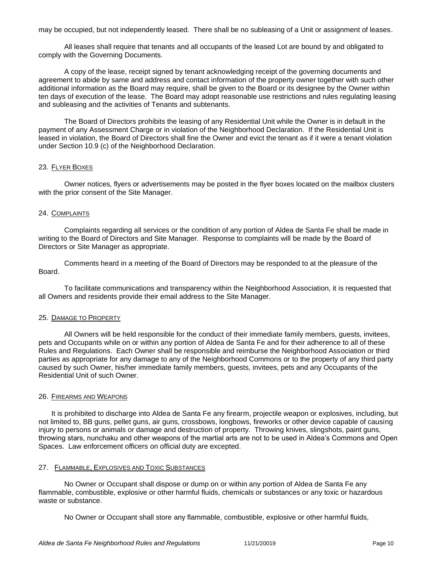may be occupied, but not independently leased. There shall be no subleasing of a Unit or assignment of leases.

All leases shall require that tenants and all occupants of the leased Lot are bound by and obligated to comply with the Governing Documents.

A copy of the lease, receipt signed by tenant acknowledging receipt of the governing documents and agreement to abide by same and address and contact information of the property owner together with such other additional information as the Board may require, shall be given to the Board or its designee by the Owner within ten days of execution of the lease. The Board may adopt reasonable use restrictions and rules regulating leasing and subleasing and the activities of Tenants and subtenants.

The Board of Directors prohibits the leasing of any Residential Unit while the Owner is in default in the payment of any Assessment Charge or in violation of the Neighborhood Declaration. If the Residential Unit is leased in violation, the Board of Directors shall fine the Owner and evict the tenant as if it were a tenant violation under Section 10.9 (c) of the Neighborhood Declaration.

#### 23. FLYER BOXES

Owner notices, flyers or advertisements may be posted in the flyer boxes located on the mailbox clusters with the prior consent of the Site Manager.

#### 24. COMPLAINTS

Complaints regarding all services or the condition of any portion of Aldea de Santa Fe shall be made in writing to the Board of Directors and Site Manager. Response to complaints will be made by the Board of Directors or Site Manager as appropriate.

Comments heard in a meeting of the Board of Directors may be responded to at the pleasure of the Board.

To facilitate communications and transparency within the Neighborhood Association, it is requested that all Owners and residents provide their email address to the Site Manager.

# 25. DAMAGE TO PROPERTY

All Owners will be held responsible for the conduct of their immediate family members, guests, invitees, pets and Occupants while on or within any portion of Aldea de Santa Fe and for their adherence to all of these Rules and Regulations. Each Owner shall be responsible and reimburse the Neighborhood Association or third parties as appropriate for any damage to any of the Neighborhood Commons or to the property of any third party caused by such Owner, his/her immediate family members, guests, invitees, pets and any Occupants of the Residential Unit of such Owner.

#### 26. FIREARMS AND WEAPONS

It is prohibited to discharge into Aldea de Santa Fe any firearm, projectile weapon or explosives, including, but not limited to, BB guns, pellet guns, air guns, crossbows, longbows, fireworks or other device capable of causing injury to persons or animals or damage and destruction of property. Throwing knives, slingshots, paint guns, throwing stars, nunchaku and other weapons of the martial arts are not to be used in Aldea's Commons and Open Spaces. Law enforcement officers on official duty are excepted.

#### 27. FLAMMABLE, EXPLOSIVES AND TOXIC SUBSTANCES

No Owner or Occupant shall dispose or dump on or within any portion of Aldea de Santa Fe any flammable, combustible, explosive or other harmful fluids, chemicals or substances or any toxic or hazardous waste or substance.

No Owner or Occupant shall store any flammable, combustible, explosive or other harmful fluids,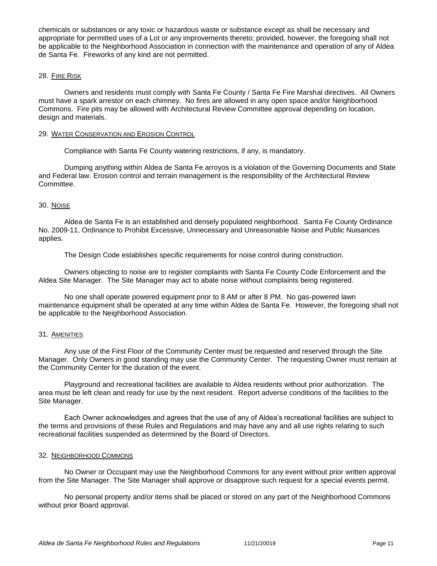chemicals or substances or any toxic or hazardous waste or substance except as shall be necessary and appropriate for permitted uses of a Lot or any improvements thereto; provided, however, the foregoing shall not be applicable to the Neighborhood Association in connection with the maintenance and operation of any of Aldea de Santa Fe. Fireworks of any kind are not permitted.

# 28. FIRE RISK

Owners and residents must comply with Santa Fe County / Santa Fe Fire Marshal directives. All Owners must have a spark arrestor on each chimney. No fires are allowed in any open space and/or Neighborhood Commons. Fire pits may be allowed with Architectural Review Committee approval depending on location, design and materials.

# 29. WATER CONSERVATION AND EROSION CONTROL

Compliance with Santa Fe County watering restrictions, if any, is mandatory.

Dumping anything within Aldea de Santa Fe arroyos is a violation of the Governing Documents and State and Federal law. Erosion control and terrain management is the responsibility of the Architectural Review Committee.

# 30. NOISE

Aldea de Santa Fe is an established and densely populated neighborhood. Santa Fe County Ordinance No. 2009-11, Ordinance to Prohibit Excessive, Unnecessary and Unreasonable Noise and Public Nuisances applies.

The Design Code establishes specific requirements for noise control during construction.

Owners objecting to noise are to register complaints with Santa Fe County Code Enforcement and the Aldea Site Manager. The Site Manager may act to abate noise without complaints being registered.

No one shall operate powered equipment prior to 8 AM or after 8 PM. No gas-powered lawn maintenance equipment shall be operated at any time within Aldea de Santa Fe. However, the foregoing shall not be applicable to the Neighborhood Association.

# 31. AMENITIES

Any use of the First Floor of the Community Center must be requested and reserved through the Site Manager. Only Owners in good standing may use the Community Center. The requesting Owner must remain at the Community Center for the duration of the event.

Playground and recreational facilities are available to Aldea residents without prior authorization. The area must be left clean and ready for use by the next resident. Report adverse conditions of the facilities to the Site Manager.

Each Owner acknowledges and agrees that the use of any of Aldea's recreational facilities are subject to the terms and provisions of these Rules and Regulations and may have any and all use rights relating to such recreational facilities suspended as determined by the Board of Directors.

#### 32. NEIGHBORHOOD COMMONS

No Owner or Occupant may use the Neighborhood Commons for any event without prior written approval from the Site Manager. The Site Manager shall approve or disapprove such request for a special events permit.

No personal property and/or items shall be placed or stored on any part of the Neighborhood Commons without prior Board approval.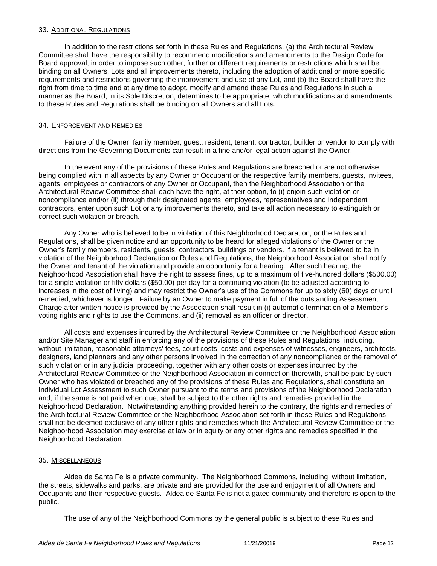#### 33. ADDITIONAL REGULATIONS

In addition to the restrictions set forth in these Rules and Regulations, (a) the Architectural Review Committee shall have the responsibility to recommend modifications and amendments to the Design Code for Board approval, in order to impose such other, further or different requirements or restrictions which shall be binding on all Owners, Lots and all improvements thereto, including the adoption of additional or more specific requirements and restrictions governing the improvement and use of any Lot, and (b) the Board shall have the right from time to time and at any time to adopt, modify and amend these Rules and Regulations in such a manner as the Board, in its Sole Discretion, determines to be appropriate, which modifications and amendments to these Rules and Regulations shall be binding on all Owners and all Lots.

# 34. ENFORCEMENT AND REMEDIES

Failure of the Owner, family member, guest, resident, tenant, contractor, builder or vendor to comply with directions from the Governing Documents can result in a fine and/or legal action against the Owner.

In the event any of the provisions of these Rules and Regulations are breached or are not otherwise being complied with in all aspects by any Owner or Occupant or the respective family members, guests, invitees, agents, employees or contractors of any Owner or Occupant, then the Neighborhood Association or the Architectural Review Committee shall each have the right, at their option, to (i) enjoin such violation or noncompliance and/or (ii) through their designated agents, employees, representatives and independent contractors, enter upon such Lot or any improvements thereto, and take all action necessary to extinguish or correct such violation or breach.

Any Owner who is believed to be in violation of this Neighborhood Declaration, or the Rules and Regulations, shall be given notice and an opportunity to be heard for alleged violations of the Owner or the Owner's family members, residents, guests, contractors, buildings or vendors. If a tenant is believed to be in violation of the Neighborhood Declaration or Rules and Regulations, the Neighborhood Association shall notify the Owner and tenant of the violation and provide an opportunity for a hearing. After such hearing, the Neighborhood Association shall have the right to assess fines, up to a maximum of five-hundred dollars (\$500.00) for a single violation or fifty dollars (\$50.00) per day for a continuing violation (to be adjusted according to increases in the cost of living) and may restrict the Owner's use of the Commons for up to sixty (60) days or until remedied, whichever is longer. Failure by an Owner to make payment in full of the outstanding Assessment Charge after written notice is provided by the Association shall result in (i) automatic termination of a Member's voting rights and rights to use the Commons, and (ii) removal as an officer or director.

All costs and expenses incurred by the Architectural Review Committee or the Neighborhood Association and/or Site Manager and staff in enforcing any of the provisions of these Rules and Regulations, including, without limitation, reasonable attorneys' fees, court costs, costs and expenses of witnesses, engineers, architects, designers, land planners and any other persons involved in the correction of any noncompliance or the removal of such violation or in any judicial proceeding, together with any other costs or expenses incurred by the Architectural Review Committee or the Neighborhood Association in connection therewith, shall be paid by such Owner who has violated or breached any of the provisions of these Rules and Regulations, shall constitute an Individual Lot Assessment to such Owner pursuant to the terms and provisions of the Neighborhood Declaration and, if the same is not paid when due, shall be subject to the other rights and remedies provided in the Neighborhood Declaration. Notwithstanding anything provided herein to the contrary, the rights and remedies of the Architectural Review Committee or the Neighborhood Association set forth in these Rules and Regulations shall not be deemed exclusive of any other rights and remedies which the Architectural Review Committee or the Neighborhood Association may exercise at law or in equity or any other rights and remedies specified in the Neighborhood Declaration.

# 35. MISCELLANEOUS

Aldea de Santa Fe is a private community. The Neighborhood Commons, including, without limitation, the streets, sidewalks and parks, are private and are provided for the use and enjoyment of all Owners and Occupants and their respective guests. Aldea de Santa Fe is not a gated community and therefore is open to the public.

The use of any of the Neighborhood Commons by the general public is subject to these Rules and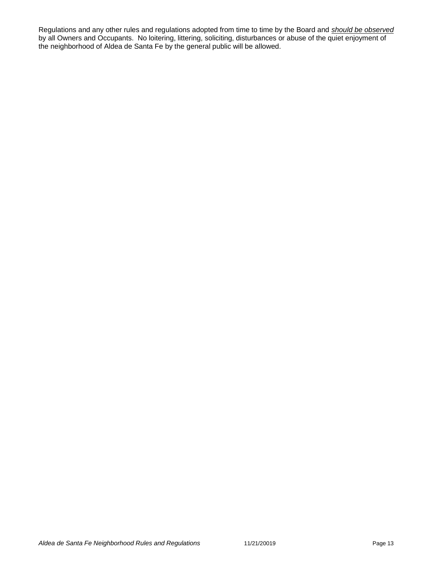Regulations and any other rules and regulations adopted from time to time by the Board and *should be observed* by all Owners and Occupants. No loitering, littering, soliciting, disturbances or abuse of the quiet enjoyment of the neighborhood of Aldea de Santa Fe by the general public will be allowed.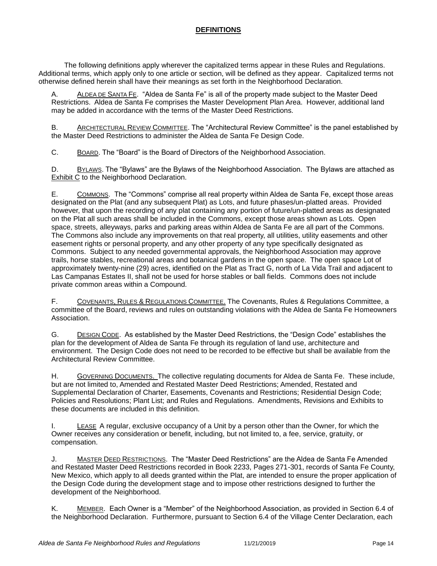# **DEFINITIONS**

The following definitions apply wherever the capitalized terms appear in these Rules and Regulations. Additional terms, which apply only to one article or section, will be defined as they appear. Capitalized terms not otherwise defined herein shall have their meanings as set forth in the Neighborhood Declaration.

A. ALDEA DE SANTA FE. "Aldea de Santa Fe" is all of the property made subject to the Master Deed Restrictions. Aldea de Santa Fe comprises the Master Development Plan Area. However, additional land may be added in accordance with the terms of the Master Deed Restrictions.

B. ARCHITECTURAL REVIEW COMMITTEE. The "Architectural Review Committee" is the panel established by the Master Deed Restrictions to administer the Aldea de Santa Fe Design Code.

C. BOARD. The "Board" is the Board of Directors of the Neighborhood Association.

D. BYLAWS. The "Bylaws" are the Bylaws of the Neighborhood Association. The Bylaws are attached as **Exhibit C** to the Neighborhood Declaration.

E. COMMONS. The "Commons" comprise all real property within Aldea de Santa Fe, except those areas designated on the Plat (and any subsequent Plat) as Lots, and future phases/un-platted areas. Provided however, that upon the recording of any plat containing any portion of future/un-platted areas as designated on the Plat all such areas shall be included in the Commons, except those areas shown as Lots. Open space, streets, alleyways, parks and parking areas within Aldea de Santa Fe are all part of the Commons. The Commons also include any improvements on that real property, all utilities, utility easements and other easement rights or personal property, and any other property of any type specifically designated as Commons. Subject to any needed governmental approvals, the Neighborhood Association may approve trails, horse stables, recreational areas and botanical gardens in the open space. The open space Lot of approximately twenty-nine (29) acres, identified on the Plat as Tract G, north of La Vida Trail and adjacent to Las Campanas Estates II, shall not be used for horse stables or ball fields. Commons does not include private common areas within a Compound.

F. COVENANTS, RULES & REGULATIONS COMMITTEE. The Covenants, Rules & Regulations Committee, a committee of the Board, reviews and rules on outstanding violations with the Aldea de Santa Fe Homeowners Association.

G. DESIGN CODE. As established by the Master Deed Restrictions, the "Design Code" establishes the plan for the development of Aldea de Santa Fe through its regulation of land use, architecture and environment. The Design Code does not need to be recorded to be effective but shall be available from the Architectural Review Committee.

H. GOVERNING DOCUMENTS. The collective regulating documents for Aldea de Santa Fe. These include, but are not limited to, Amended and Restated Master Deed Restrictions; Amended, Restated and Supplemental Declaration of Charter, Easements, Covenants and Restrictions; Residential Design Code; Policies and Resolutions; Plant List; and Rules and Regulations. Amendments, Revisions and Exhibits to these documents are included in this definition.

I. LEASE A regular, exclusive occupancy of a Unit by a person other than the Owner, for which the Owner receives any consideration or benefit, including, but not limited to, a fee, service, gratuity, or compensation.

J. MASTER DEED RESTRICTIONS. The "Master Deed Restrictions" are the Aldea de Santa Fe Amended and Restated Master Deed Restrictions recorded in Book 2233, Pages 271-301, records of Santa Fe County, New Mexico, which apply to all deeds granted within the Plat, are intended to ensure the proper application of the Design Code during the development stage and to impose other restrictions designed to further the development of the Neighborhood.

K. MEMBER. Each Owner is a "Member" of the Neighborhood Association, as provided in Section 6.4 of the Neighborhood Declaration. Furthermore, pursuant to Section 6.4 of the Village Center Declaration, each